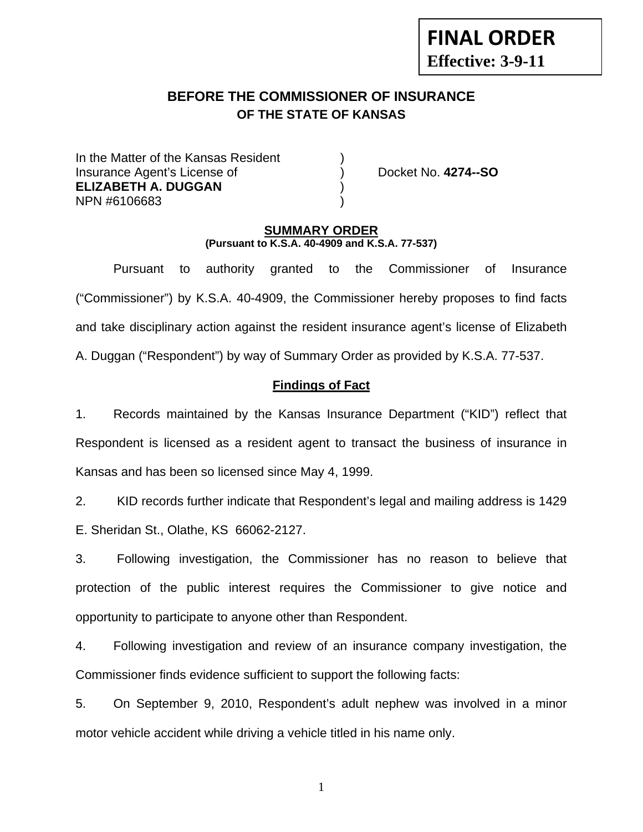# **FINAL ORDER Effective: 3-9-11**

# **BEFORE THE COMMISSIONER OF INSURANCE OF THE STATE OF KANSAS**

In the Matter of the Kansas Resident Insurance Agent's License of ) Docket No. **4274--SO ELIZABETH A. DUGGAN** ) NPN #6106683 )

#### **SUMMARY ORDER (Pursuant to K.S.A. 40-4909 and K.S.A. 77-537)**

 Pursuant to authority granted to the Commissioner of Insurance ("Commissioner") by K.S.A. 40-4909, the Commissioner hereby proposes to find facts and take disciplinary action against the resident insurance agent's license of Elizabeth A. Duggan ("Respondent") by way of Summary Order as provided by K.S.A. 77-537.

## **Findings of Fact**

1. Records maintained by the Kansas Insurance Department ("KID") reflect that Respondent is licensed as a resident agent to transact the business of insurance in Kansas and has been so licensed since May 4, 1999.

2. KID records further indicate that Respondent's legal and mailing address is 1429 E. Sheridan St., Olathe, KS 66062-2127.

3. Following investigation, the Commissioner has no reason to believe that protection of the public interest requires the Commissioner to give notice and opportunity to participate to anyone other than Respondent.

4. Following investigation and review of an insurance company investigation, the Commissioner finds evidence sufficient to support the following facts:

5. On September 9, 2010, Respondent's adult nephew was involved in a minor motor vehicle accident while driving a vehicle titled in his name only.

1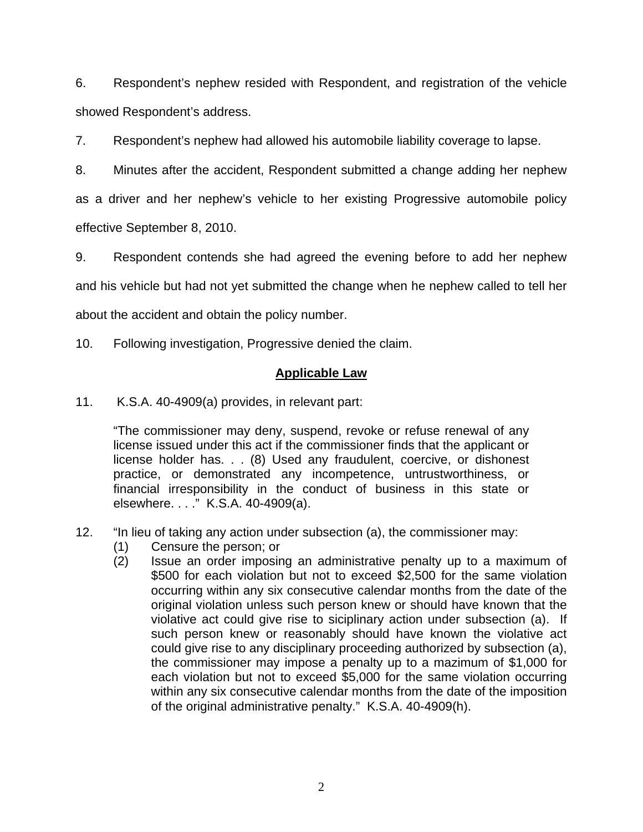6. Respondent's nephew resided with Respondent, and registration of the vehicle showed Respondent's address.

7. Respondent's nephew had allowed his automobile liability coverage to lapse.

8. Minutes after the accident, Respondent submitted a change adding her nephew as a driver and her nephew's vehicle to her existing Progressive automobile policy effective September 8, 2010.

9. Respondent contends she had agreed the evening before to add her nephew and his vehicle but had not yet submitted the change when he nephew called to tell her about the accident and obtain the policy number.

10. Following investigation, Progressive denied the claim.

# **Applicable Law**

11. K.S.A. 40-4909(a) provides, in relevant part:

"The commissioner may deny, suspend, revoke or refuse renewal of any license issued under this act if the commissioner finds that the applicant or license holder has. . . (8) Used any fraudulent, coercive, or dishonest practice, or demonstrated any incompetence, untrustworthiness, or financial irresponsibility in the conduct of business in this state or elsewhere. . . ." K.S.A. 40-4909(a).

- 12. "In lieu of taking any action under subsection (a), the commissioner may:
	- (1) Censure the person; or
	- (2) Issue an order imposing an administrative penalty up to a maximum of \$500 for each violation but not to exceed \$2,500 for the same violation occurring within any six consecutive calendar months from the date of the original violation unless such person knew or should have known that the violative act could give rise to siciplinary action under subsection (a). If such person knew or reasonably should have known the violative act could give rise to any disciplinary proceeding authorized by subsection (a), the commissioner may impose a penalty up to a mazimum of \$1,000 for each violation but not to exceed \$5,000 for the same violation occurring within any six consecutive calendar months from the date of the imposition of the original administrative penalty." K.S.A. 40-4909(h).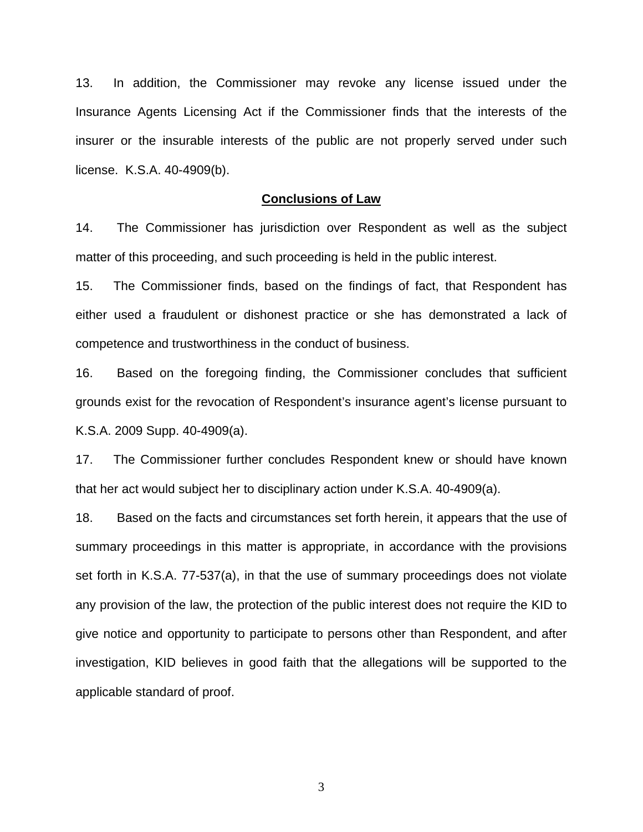13. In addition, the Commissioner may revoke any license issued under the Insurance Agents Licensing Act if the Commissioner finds that the interests of the insurer or the insurable interests of the public are not properly served under such license. K.S.A. 40-4909(b).

#### **Conclusions of Law**

14. The Commissioner has jurisdiction over Respondent as well as the subject matter of this proceeding, and such proceeding is held in the public interest.

15. The Commissioner finds, based on the findings of fact, that Respondent has either used a fraudulent or dishonest practice or she has demonstrated a lack of competence and trustworthiness in the conduct of business.

16. Based on the foregoing finding, the Commissioner concludes that sufficient grounds exist for the revocation of Respondent's insurance agent's license pursuant to K.S.A. 2009 Supp. 40-4909(a).

17. The Commissioner further concludes Respondent knew or should have known that her act would subject her to disciplinary action under K.S.A. 40-4909(a).

18. Based on the facts and circumstances set forth herein, it appears that the use of summary proceedings in this matter is appropriate, in accordance with the provisions set forth in K.S.A. 77-537(a), in that the use of summary proceedings does not violate any provision of the law, the protection of the public interest does not require the KID to give notice and opportunity to participate to persons other than Respondent, and after investigation, KID believes in good faith that the allegations will be supported to the applicable standard of proof.

3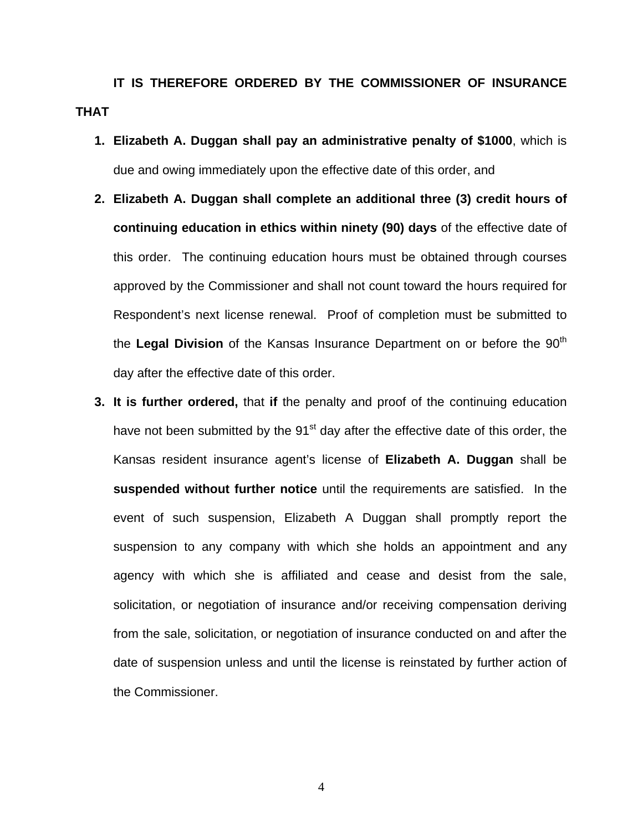**IT IS THEREFORE ORDERED BY THE COMMISSIONER OF INSURANCE THAT** 

- **1. Elizabeth A. Duggan shall pay an administrative penalty of \$1000**, which is due and owing immediately upon the effective date of this order, and
- **2. Elizabeth A. Duggan shall complete an additional three (3) credit hours of continuing education in ethics within ninety (90) days** of the effective date of this order. The continuing education hours must be obtained through courses approved by the Commissioner and shall not count toward the hours required for Respondent's next license renewal. Proof of completion must be submitted to the Legal Division of the Kansas Insurance Department on or before the 90<sup>th</sup> day after the effective date of this order.
- **3. It is further ordered,** that **if** the penalty and proof of the continuing education have not been submitted by the 91<sup>st</sup> day after the effective date of this order, the Kansas resident insurance agent's license of **Elizabeth A. Duggan** shall be **suspended without further notice** until the requirements are satisfied. In the event of such suspension, Elizabeth A Duggan shall promptly report the suspension to any company with which she holds an appointment and any agency with which she is affiliated and cease and desist from the sale, solicitation, or negotiation of insurance and/or receiving compensation deriving from the sale, solicitation, or negotiation of insurance conducted on and after the date of suspension unless and until the license is reinstated by further action of the Commissioner.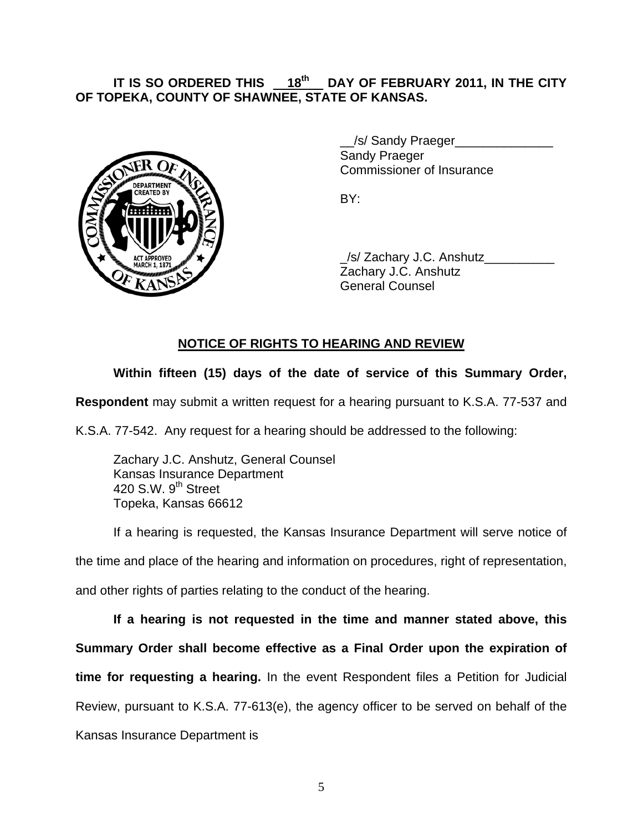# **IT IS SO ORDERED THIS** \_\_**18th**\_\_ **DAY OF FEBRUARY 2011, IN THE CITY OF TOPEKA, COUNTY OF SHAWNEE, STATE OF KANSAS.**



 \_\_/s/ Sandy Praeger\_\_\_\_\_\_\_\_\_\_\_\_\_\_ Sandy Praeger Commissioner of Insurance

 \_/s/ Zachary J.C. Anshutz\_\_\_\_\_\_\_\_\_\_ Zachary J.C. Anshutz General Counsel

# **NOTICE OF RIGHTS TO HEARING AND REVIEW**

# **Within fifteen (15) days of the date of service of this Summary Order,**

**Respondent** may submit a written request for a hearing pursuant to K.S.A. 77-537 and

K.S.A. 77-542. Any request for a hearing should be addressed to the following:

 Zachary J.C. Anshutz, General Counsel Kansas Insurance Department 420 S.W. 9<sup>th</sup> Street Topeka, Kansas 66612

If a hearing is requested, the Kansas Insurance Department will serve notice of the time and place of the hearing and information on procedures, right of representation, and other rights of parties relating to the conduct of the hearing.

**If a hearing is not requested in the time and manner stated above, this Summary Order shall become effective as a Final Order upon the expiration of time for requesting a hearing.** In the event Respondent files a Petition for Judicial Review, pursuant to K.S.A. 77-613(e), the agency officer to be served on behalf of the Kansas Insurance Department is